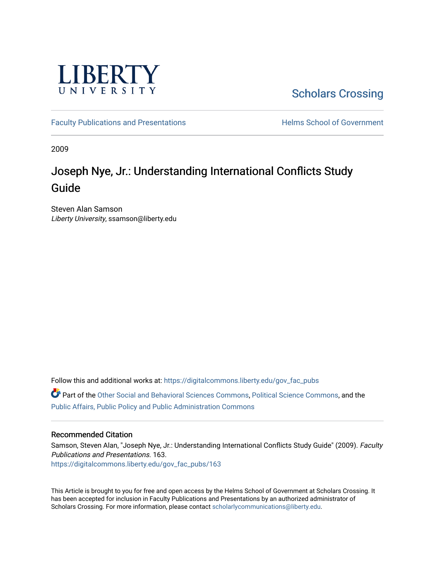

[Scholars Crossing](https://digitalcommons.liberty.edu/) 

[Faculty Publications and Presentations](https://digitalcommons.liberty.edu/gov_fac_pubs) **Exercise School of Government** 

2009

# Joseph Nye, Jr.: Understanding International Conflicts Study Guide

Steven Alan Samson Liberty University, ssamson@liberty.edu

Follow this and additional works at: [https://digitalcommons.liberty.edu/gov\\_fac\\_pubs](https://digitalcommons.liberty.edu/gov_fac_pubs?utm_source=digitalcommons.liberty.edu%2Fgov_fac_pubs%2F163&utm_medium=PDF&utm_campaign=PDFCoverPages)

Part of the [Other Social and Behavioral Sciences Commons](http://network.bepress.com/hgg/discipline/437?utm_source=digitalcommons.liberty.edu%2Fgov_fac_pubs%2F163&utm_medium=PDF&utm_campaign=PDFCoverPages), [Political Science Commons](http://network.bepress.com/hgg/discipline/386?utm_source=digitalcommons.liberty.edu%2Fgov_fac_pubs%2F163&utm_medium=PDF&utm_campaign=PDFCoverPages), and the [Public Affairs, Public Policy and Public Administration Commons](http://network.bepress.com/hgg/discipline/393?utm_source=digitalcommons.liberty.edu%2Fgov_fac_pubs%2F163&utm_medium=PDF&utm_campaign=PDFCoverPages)

#### Recommended Citation

Samson, Steven Alan, "Joseph Nye, Jr.: Understanding International Conflicts Study Guide" (2009). Faculty Publications and Presentations. 163. [https://digitalcommons.liberty.edu/gov\\_fac\\_pubs/163](https://digitalcommons.liberty.edu/gov_fac_pubs/163?utm_source=digitalcommons.liberty.edu%2Fgov_fac_pubs%2F163&utm_medium=PDF&utm_campaign=PDFCoverPages)

This Article is brought to you for free and open access by the Helms School of Government at Scholars Crossing. It has been accepted for inclusion in Faculty Publications and Presentations by an authorized administrator of Scholars Crossing. For more information, please contact [scholarlycommunications@liberty.edu.](mailto:scholarlycommunications@liberty.edu)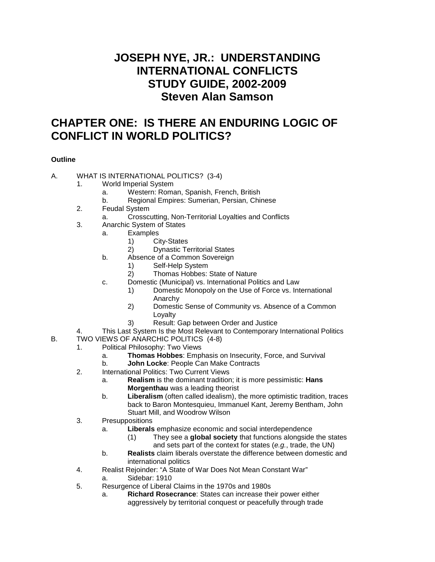# **JOSEPH NYE, JR.: UNDERSTANDING INTERNATIONAL CONFLICTS STUDY GUIDE, 2002-2009 Steven Alan Samson**

# **CHAPTER ONE: IS THERE AN ENDURING LOGIC OF CONFLICT IN WORLD POLITICS?**

### **Outline**

- A. WHAT IS INTERNATIONAL POLITICS? (3-4)
	- 1. World Imperial System
		- a. Western: Roman, Spanish, French, British
		- b. Regional Empires: Sumerian, Persian, Chinese
	- 2. Feudal System
		- a. Crosscutting, Non-Territorial Loyalties and Conflicts
	- 3. Anarchic System of States
		- a. Examples
			- 1) City-States<br>2) Dynastic Te
			- 2) Dynastic Territorial States
			- b. Absence of a Common Sovereign
				- 1) Self-Help System
				- 2) Thomas Hobbes: State of Nature
			- c. Domestic (Municipal) vs. International Politics and Law
				- 1) Domestic Monopoly on the Use of Force vs. International Anarchy
				- 2) Domestic Sense of Community vs. Absence of a Common Loyalty
				- 3) Result: Gap between Order and Justice
	- This Last System Is the Most Relevant to Contemporary International Politics
- B. TWO VIEWS OF ANARCHIC POLITICS (4-8)
	- 1. Political Philosophy: Two Views
		- a. **Thomas Hobbes**: Emphasis on Insecurity, Force, and Survival
		- **John Locke: People Can Make Contracts**
		- 2. International Politics: Two Current Views
			- a. **Realism** is the dominant tradition; it is more pessimistic: **Hans Morgenthau** was a leading theorist
			- b. **Liberalism** (often called idealism), the more optimistic tradition, traces back to Baron Montesquieu, Immanuel Kant, Jeremy Bentham, John Stuart Mill, and Woodrow Wilson
		- 3. Presuppositions
			- a. **Liberals** emphasize economic and social interdependence
				- (1) They see a **global society** that functions alongside the states and sets part of the context for states (*e.g.*, trade, the UN)
			- b. **Realists** claim liberals overstate the difference between domestic and international politics
		- 4. Realist Rejoinder: "A State of War Does Not Mean Constant War" a. Sidebar: 1910
		- 5. Resurgence of Liberal Claims in the 1970s and 1980s
			- a. **Richard Rosecrance**: States can increase their power either aggressively by territorial conquest or peacefully through trade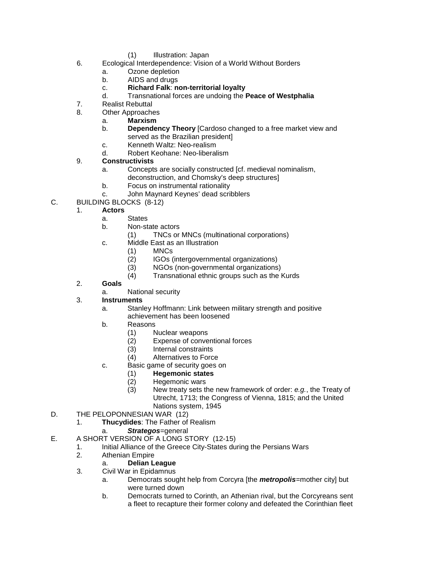- (1) Illustration: Japan
- 6. Ecological Interdependence: Vision of a World Without Borders
	- a. Ozone depletion<br>b. AIDS and drugs
	- AIDS and drugs
	- c. **Richard Falk**: **non-territorial loyalty**
	- d. Transnational forces are undoing the **Peace of Westphalia**
- 7. Realist Rebuttal
- 8. Other Approaches
	- a. **Marxism**
	- Dependency Theory [Cardoso changed to a free market view and served as the Brazilian president]
	- c. Kenneth Waltz: Neo-realism
	- d. Robert Keohane: Neo-liberalism

### 9. **Constructivists**

- a. Concepts are socially constructed [cf. medieval nominalism, deconstruction, and Chomsky's deep structures]
- b. Focus on instrumental rationality
- c. John Maynard Keynes' dead scribblers
- C. BUILDING BLOCKS (8-12)

### 1. **Actors**

- a. States
- b. Non-state actors
	- (1) TNCs or MNCs (multinational corporations)
- c. Middle East as an Illustration
	- (1) MNCs
	- (2) IGOs (intergovernmental organizations)
	- (3) NGOs (non-governmental organizations)
	- (4) Transnational ethnic groups such as the Kurds
- 2. **Goals**
	- a. National security

### 3. **Instruments**

- a. Stanley Hoffmann: Link between military strength and positive achievement has been loosened
- b. Reasons
	- (1) Nuclear weapons<br>(2) Expense of conve
	- Expense of conventional forces
	- (3) Internal constraints
	- (4) Alternatives to Force
- c. Basic game of security goes on
	- (1) **Hegemonic states**
	- (2) Hegemonic wars<br>(3) New treaty sets to
	- (3) New treaty sets the new framework of order: *e.g.*, the Treaty of Utrecht, 1713; the Congress of Vienna, 1815; and the United Nations system, 1945
- D. THE PELOPONNESIAN WAR (12)
	- 1. **Thucydides**: The Father of Realism

### a. *Strategos*=general

- E. A SHORT VERSION OF A LONG STORY (12-15)
	- 1. Initial Alliance of the Greece City-States during the Persians Wars
	- 2. Athenian Empire
		- a. **Delian League**
	- 3. Civil War in Epidamnus
		- a. Democrats sought help from Corcyra [the *metropolis*=mother city] but were turned down
		- b. Democrats turned to Corinth, an Athenian rival, but the Corcyreans sent a fleet to recapture their former colony and defeated the Corinthian fleet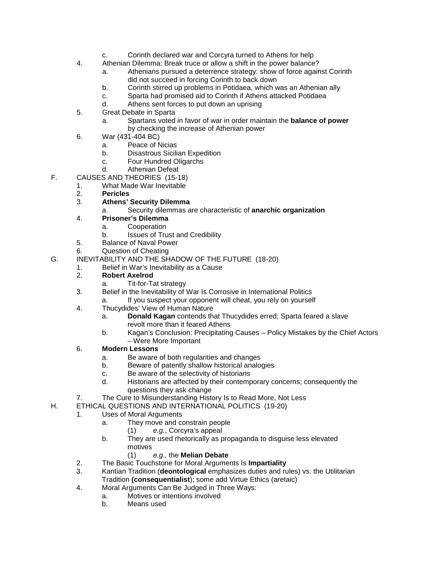- c. Corinth declared war and Corcyra turned to Athens for help
- 4. Athenian Dilemma: Break truce or allow a shift in the power balance?
	- a. Athenians pursued a deterrence strategy: show of force against Corinth did not succeed in forcing Corinth to back down
	- b. Corinth stirred up problems in Potidaea, which was an Athenian ally
	- c. Sparta had promised aid to Corinth if Athens attacked Potidaea
	- d. Athens sent forces to put down an uprising
- 5. Great Debate in Sparta
	- a. Spartans voted in favor of war in order maintain the **balance of power** by checking the increase of Athenian power
- 6. War (431-404 BC)
	- a. Peace of Nicias
	- b. Disastrous Sicilian Expedition
	- c. Four Hundred Oligarchs
	- d. Athenian Defeat
- F. CAUSES AND THEORIES (15-18)
	- 1. What Made War Inevitable
	- 2. **Pericles**
	- 3. **Athens' Security Dilemma**
		- a. Security dilemmas are characteristic of **anarchic organization**
	- 4. **Prisoner's Dilemma**
		- a. Cooperation
		- b. Issues of Trust and Credibility
	- 5. Balance of Naval Power
	- 6. Question of Cheating
- G. INEVITABILITY AND THE SHADOW OF THE FUTURE (18-20)
	- 1. Belief in War's Inevitability as a Cause
	- 2. **Robert Axelrod**
		- a. Tit-for-Tat strategy
	- 3. Belief in the Inevitability of War Is Corrosive in International Politics
		- a. If you suspect your opponent will cheat, you rely on yourself
	- 4. Thucydides' View of Human Nature
		- a. **Donald Kagan** contends that Thucydides erred; Sparta feared a slave revolt more than it feared Athens
		- b. Kagan's Conclusion: Precipitating Causes Policy Mistakes by the Chief Actors – Were More Important
	- 6. **Modern Lessons**
		- a. Be aware of both regularities and changes
		- b. Beware of patently shallow historical analogies
		- c. Be aware of the selectivity of historians
		- d. Historians are affected by their contemporary concerns; consequently the questions they ask change
	- 7. The Cure to Misunderstanding History Is to Read More, Not Less
- H. ETHICAL QUESTIONS AND INTERNATIONAL POLITICS (19-20)
	- 1. Uses of Moral Arguments
		- a. They move and constrain people
			- (1) *e.g.*, Corcyra's appeal
		- b. They are used rhetorically as propaganda to disguise less elevated motives
			- (1) *e.g.,* the **Melian Debate**
	- 2. The Basic Touchstone for Moral Arguments Is **Impartiality**
	- 3. Kantian Tradition (**deontological** emphasizes duties and rules) vs. the Utilitarian Tradition **(consequentialist**); some add Virtue Ethics (aretaic)
	- 4. Moral Arguments Can Be Judged in Three Ways:
		- a. Motives or intentions involved
		- b. Means used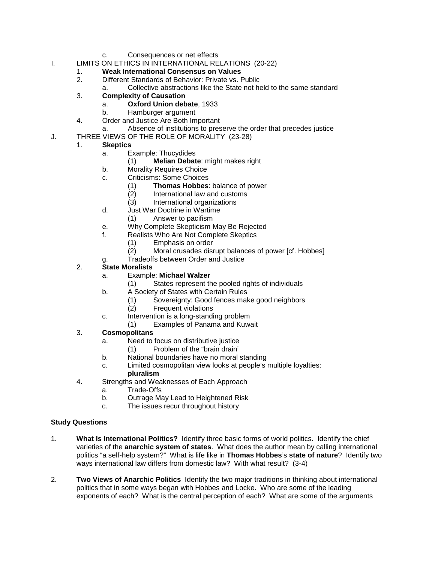- c. Consequences or net effects
- I. LIMITS ON ETHICS IN INTERNATIONAL RELATIONS (20-22)
	- 1. **Weak International Consensus on Values**
		- Different Standards of Behavior: Private vs. Public
			- a. Collective abstractions like the State not held to the same standard
	- 3. **Complexity of Causation**
		- a. **Oxford Union debate**, 1933
		- b. Hamburger argument
	- 4. Order and Justice Are Both Important
	- a. Absence of institutions to preserve the order that precedes justice
- J. THREE VIEWS OF THE ROLE OF MORALITY (23-28)

### 1. **Skeptics**

- a. Example: Thucydides
	- (1) **Melian Debate**: might makes right
- b. Morality Requires Choice
- c. Criticisms: Some Choices
	- (1) **Thomas Hobbes**: balance of power
	- International law and customs
	- (3) International organizations
- d. Just War Doctrine in Wartime
	- (1) Answer to pacifism
- e. Why Complete Skepticism May Be Rejected
- f. Realists Who Are Not Complete Skeptics
	- (1) Emphasis on order
	- Moral crusades disrupt balances of power [cf. Hobbes]
	- g. Tradeoffs between Order and Justice
- 2. **State Moralists**

### a. Example: **Michael Walzer**

- (1) States represent the pooled rights of individuals
- b. A Society of States with Certain Rules<br>(1) Sovereignty: Good fences make
	- (1) Sovereignty: Good fences make good neighbors<br>(2) Frequent violations
		- **Frequent violations**
- c. Intervention is a long-standing problem
	- (1) Examples of Panama and Kuwait
- 3. **Cosmopolitans**
	- a. Need to focus on distributive justice
		- (1) Problem of the "brain drain"
	- b. National boundaries have no moral standing
	- c. Limited cosmopolitan view looks at people's multiple loyalties:
	- **pluralism**
- 4. Strengths and Weaknesses of Each Approach
	- a. Trade-Offs
	- b. Outrage May Lead to Heightened Risk
	- c. The issues recur throughout history

- 1. **What Is International Politics?** Identify three basic forms of world politics. Identify the chief varieties of the **anarchic system of states**. What does the author mean by calling international politics "a self-help system?" What is life like in **Thomas Hobbes**'s **state of nature**? Identify two ways international law differs from domestic law? With what result? (3-4)
- 2. **Two Views of Anarchic Politics** Identify the two major traditions in thinking about international politics that in some ways began with Hobbes and Locke. Who are some of the leading exponents of each? What is the central perception of each? What are some of the arguments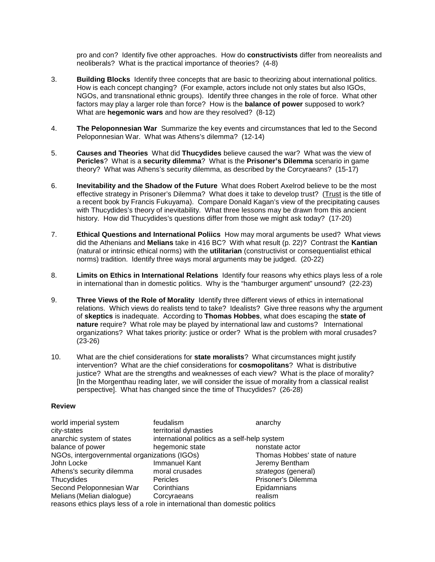pro and con? Identify five other approaches. How do **constructivists** differ from neorealists and neoliberals? What is the practical importance of theories? (4-8)

- 3. **Building Blocks** Identify three concepts that are basic to theorizing about international politics. How is each concept changing? (For example, actors include not only states but also IGOs, NGOs, and transnational ethnic groups). Identify three changes in the role of force. What other factors may play a larger role than force? How is the **balance of power** supposed to work? What are **hegemonic wars** and how are they resolved? (8-12)
- 4. **The Peloponnesian War** Summarize the key events and circumstances that led to the Second Peloponnesian War. What was Athens's dilemma? (12-14)
- 5. **Causes and Theories** What did **Thucydides** believe caused the war? What was the view of **Pericles**? What is a **security dilemma**? What is the **Prisoner's Dilemma** scenario in game theory? What was Athens's security dilemma, as described by the Corcyraeans? (15-17)
- 6. **Inevitability and the Shadow of the Future** What does Robert Axelrod believe to be the most effective strategy in Prisoner's Dilemma? What does it take to develop trust? (Trust is the title of a recent book by Francis Fukuyama). Compare Donald Kagan's view of the precipitating causes with Thucydides's theory of inevitability. What three lessons may be drawn from this ancient history. How did Thucydides's questions differ from those we might ask today? (17-20)
- 7. **Ethical Questions and International Poliics** How may moral arguments be used? What views did the Athenians and **Melians** take in 416 BC? With what result (p. 22)? Contrast the **Kantian**  (natural or intrinsic ethical norms) with the **utilitarian** (constructivist or consequentialist ethical norms) tradition. Identify three ways moral arguments may be judged. (20-22)
- 8. **Limits on Ethics in International Relations** Identify four reasons why ethics plays less of a role in international than in domestic politics. Why is the "hamburger argument" unsound? (22-23)
- 9. **Three Views of the Role of Morality** Identify three different views of ethics in international relations. Which views do realists tend to take? Idealists? Give three reasons why the argument of **skeptics** is inadequate. According to **Thomas Hobbes**, what does escaping the **state of nature** require? What role may be played by international law and customs? International organizations? What takes priority: justice or order? What is the problem with moral crusades? (23-26)
- 10. What are the chief considerations for **state moralists**? What circumstances might justify intervention? What are the chief considerations for **cosmopolitans**? What is distributive justice? What are the strengths and weaknesses of each view? What is the place of morality? [In the Morgenthau reading later, we will consider the issue of morality from a classical realist perspective]. What has changed since the time of Thucydides? (26-28)

#### **Review**

| world imperial system                                                       | feudalism                                    | anarchy                        |  |  |  |
|-----------------------------------------------------------------------------|----------------------------------------------|--------------------------------|--|--|--|
| city-states                                                                 | territorial dynasties                        |                                |  |  |  |
| anarchic system of states                                                   | international politics as a self-help system |                                |  |  |  |
| balance of power                                                            | hegemonic state                              | nonstate actor                 |  |  |  |
| NGOs, intergovernmental organizations (IGOs)                                |                                              | Thomas Hobbes' state of nature |  |  |  |
| John Locke                                                                  | Immanuel Kant                                | Jeremy Bentham                 |  |  |  |
| Athens's security dilemma                                                   | moral crusades                               | strategos (general)            |  |  |  |
| Thucydides                                                                  | <b>Pericles</b>                              | Prisoner's Dilemma             |  |  |  |
| Second Peloponnesian War                                                    | Corinthians                                  | Epidamnians                    |  |  |  |
| Melians (Melian dialogue)                                                   | Corcyraeans                                  | realism                        |  |  |  |
| reasons ethics plays less of a role in international than domestic politics |                                              |                                |  |  |  |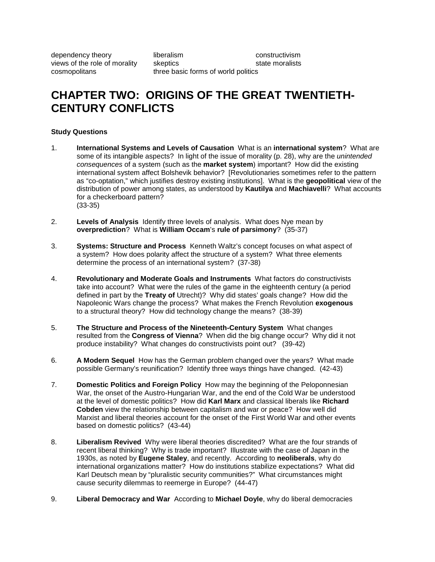dependency theory **liberalism** constructivism views of the role of morality skeptics state moralists state moralists cosmopolitans three basic forms of world politics

# **CHAPTER TWO: ORIGINS OF THE GREAT TWENTIETH-CENTURY CONFLICTS**

- 1. **International Systems and Levels of Causation** What is an **international system**? What are some of its intangible aspects? In light of the issue of morality (p. 28), why are the *unintended consequences* of a system (such as the **market system**) important? How did the existing international system affect Bolshevik behavior? [Revolutionaries sometimes refer to the pattern as "co-optation," which justifies destroy existing institutions]. What is the **geopolitical** view of the distribution of power among states, as understood by **Kautilya** and **Machiavelli**? What accounts for a checkerboard pattern? (33-35)
- 2. **Levels of Analysis** Identify three levels of analysis. What does Nye mean by **overprediction**? What is **William Occam**'s **rule of parsimony**? (35-37)
- 3. **Systems: Structure and Process** Kenneth Waltz's concept focuses on what aspect of a system? How does polarity affect the structure of a system? What three elements determine the process of an international system? (37-38)
- 4. **Revolutionary and Moderate Goals and Instruments** What factors do constructivists take into account? What were the rules of the game in the eighteenth century (a period defined in part by the **Treaty of** Utrecht)? Why did states' goals change? How did the Napoleonic Wars change the process? What makes the French Revolution **exogenous** to a structural theory? How did technology change the means? (38-39)
- 5. **The Structure and Process of the Nineteenth-Century System** What changes resulted from the **Congress of Vienna**? When did the big change occur? Why did it not produce instability? What changes do constructivists point out? (39-42)
- 6. **A Modern Sequel** How has the German problem changed over the years? What made possible Germany's reunification? Identify three ways things have changed. (42-43)
- 7. **Domestic Politics and Foreign Policy** How may the beginning of the Peloponnesian War, the onset of the Austro-Hungarian War, and the end of the Cold War be understood at the level of domestic politics? How did **Karl Marx** and classical liberals like **Richard Cobden** view the relationship between capitalism and war or peace? How well did Marxist and liberal theories account for the onset of the First World War and other events based on domestic politics? (43-44)
- 8. **Liberalism Revived** Why were liberal theories discredited? What are the four strands of recent liberal thinking? Why is trade important? Illustrate with the case of Japan in the 1930s, as noted by **Eugene Staley**, and recently. According to **neoliberals**, why do international organizations matter? How do institutions stabilize expectations? What did Karl Deutsch mean by "pluralistic security communities?" What circumstances might cause security dilemmas to reemerge in Europe? (44-47)
- 9. **Liberal Democracy and War** According to **Michael Doyle**, why do liberal democracies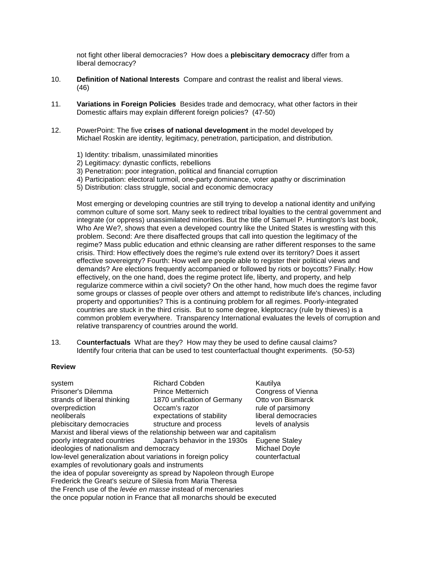not fight other liberal democracies? How does a **plebiscitary democracy** differ from a liberal democracy?

- 10. **Definition of National Interests** Compare and contrast the realist and liberal views. (46)
- 11. **Variations in Foreign Policies** Besides trade and democracy, what other factors in their Domestic affairs may explain different foreign policies? (47-50)
- 12. PowerPoint: The five **crises of national development** in the model developed by Michael Roskin are identity, legitimacy, penetration, participation, and distribution.
	- 1) Identity: tribalism, unassimilated minorities
	- 2) Legitimacy: dynastic conflicts, rebellions
	- 3) Penetration: poor integration, political and financial corruption
	- 4) Participation: electoral turmoil, one-party dominance, voter apathy or discrimination
	- 5) Distribution: class struggle, social and economic democracy

Most emerging or developing countries are still trying to develop a national identity and unifying common culture of some sort. Many seek to redirect tribal loyalties to the central government and integrate (or oppress) unassimilated minorities. But the title of Samuel P. Huntington's last book, Who Are We?, shows that even a developed country like the United States is wrestling with this problem. Second: Are there disaffected groups that call into question the legitimacy of the regime? Mass public education and ethnic cleansing are rather different responses to the same crisis. Third: How effectively does the regime's rule extend over its territory? Does it assert effective sovereignty? Fourth: How well are people able to register their political views and demands? Are elections frequently accompanied or followed by riots or boycotts? Finally: How effectively, on the one hand, does the regime protect life, liberty, and property, and help regularize commerce within a civil society? On the other hand, how much does the regime favor some groups or classes of people over others and attempt to redistribute life's chances, including property and opportunities? This is a continuing problem for all regimes. Poorly-integrated countries are stuck in the third crisis. But to some degree, kleptocracy (rule by thieves) is a common problem everywhere. Transparency International evaluates the levels of corruption and relative transparency of countries around the world.

13. C**ounterfactuals** What are they? How may they be used to define causal claims? Identify four criteria that can be used to test counterfactual thought experiments. (50-53)

#### **Review**

| system                                                                   | <b>Richard Cobden</b>         | Kautilya            |  |  |
|--------------------------------------------------------------------------|-------------------------------|---------------------|--|--|
| Prisoner's Dilemma                                                       | <b>Prince Metternich</b>      | Congress of Vienna  |  |  |
| strands of liberal thinking                                              | 1870 unification of Germany   | Otto von Bismarck   |  |  |
| overprediction                                                           | Occam's razor                 | rule of parsimony   |  |  |
| neoliberals                                                              | expectations of stability     | liberal democracies |  |  |
| plebiscitary democracies                                                 | structure and process         | levels of analysis  |  |  |
| Marxist and liberal views of the relationship between war and capitalism |                               |                     |  |  |
| poorly integrated countries                                              | Japan's behavior in the 1930s | Eugene Staley       |  |  |
| ideologies of nationalism and democracy                                  |                               | Michael Doyle       |  |  |
| low-level generalization about variations in foreign policy              |                               | counterfactual      |  |  |
| examples of revolutionary goals and instruments                          |                               |                     |  |  |
| the idea of popular sovereignty as spread by Napoleon through Europe     |                               |                     |  |  |
| Frederick the Great's seizure of Silesia from Maria Theresa              |                               |                     |  |  |
| the French use of the levée en masse instead of mercenaries              |                               |                     |  |  |
| the once popular notion in France that all monarchs should be executed   |                               |                     |  |  |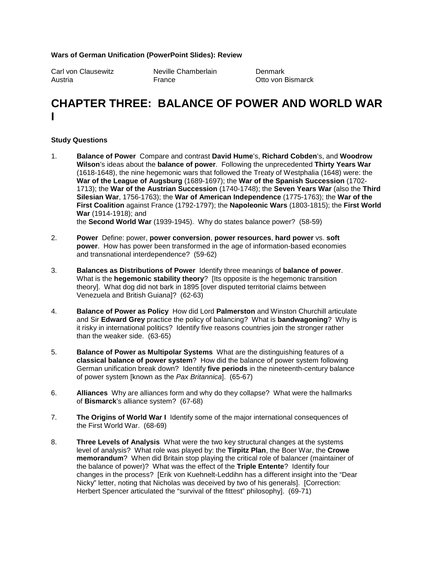#### **Wars of German Unification (PowerPoint Slides): Review**

Carl von Clausewitz Neville Chamberlain Denmark

**Otto von Bismarck** 

# **CHAPTER THREE: BALANCE OF POWER AND WORLD WAR I**

#### **Study Questions**

1. **Balance of Power** Compare and contrast **David Hume**'s, **Richard Cobden**'s, and **Woodrow Wilson**'s ideas about the **balance of power**. Following the unprecedented **Thirty Years War**  (1618-1648), the nine hegemonic wars that followed the Treaty of Westphalia (1648) were: the **War of the League of Augsburg** (1689-1697); the **War of the Spanish Succession** (1702- 1713); the **War of the Austrian Succession** (1740-1748); the **Seven Years War** (also the **Third Silesian War**, 1756-1763); the **War of American Independence** (1775-1763); the **War of the First Coalition** against France (1792-1797); the **Napoleonic Wars** (1803-1815); the **First World War** (1914-1918); and

the **Second World War** (1939-1945). Why do states balance power? (58-59)

- 2. **Power** Define: power, **power conversion**, **power resources**, **hard power** vs. **soft power**. How has power been transformed in the age of information-based economies and transnational interdependence? (59-62)
- 3. **Balances as Distributions of Power** Identify three meanings of **balance of power**. What is the **hegemonic stability theory**? [Its opposite is the hegemonic transition theory]. What dog did not bark in 1895 [over disputed territorial claims between Venezuela and British Guiana]? (62-63)
- 4. **Balance of Power as Policy** How did Lord **Palmerston** and Winston Churchill articulate and Sir **Edward Grey** practice the policy of balancing? What is **bandwagoning**? Why is it risky in international politics? Identify five reasons countries join the stronger rather than the weaker side. (63-65)
- 5. **Balance of Power as Multipolar Systems** What are the distinguishing features of a **classical balance of power system**? How did the balance of power system following German unification break down? Identify **five periods** in the nineteenth-century balance of power system [known as the *Pax Britannica*]. (65-67)
- 6. **Alliances** Why are alliances form and why do they collapse? What were the hallmarks of **Bismarck**'s alliance system? (67-68)
- 7. **The Origins of World War I** Identify some of the major international consequences of the First World War. (68-69)
- 8. **Three Levels of Analysis** What were the two key structural changes at the systems level of analysis? What role was played by: the **Tirpitz Plan**, the Boer War, the **Crowe memorandum**? When did Britain stop playing the critical role of balancer (maintainer of the balance of power)? What was the effect of the **Triple Entente**? Identify four changes in the process? [Erik von Kuehnelt-Leddihn has a different insight into the "Dear Nicky" letter, noting that Nicholas was deceived by two of his generals]. [Correction: Herbert Spencer articulated the "survival of the fittest" philosophy]. (69-71)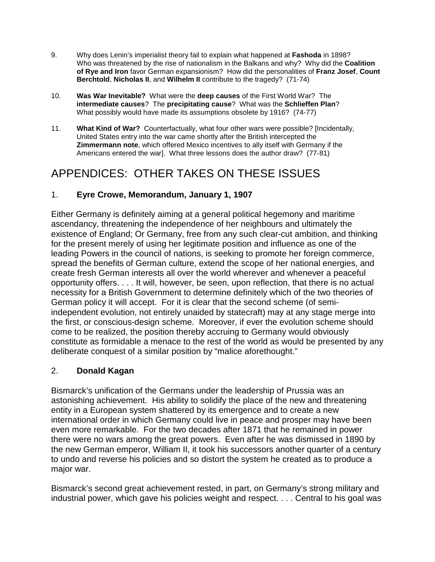- 9. Why does Lenin's imperialist theory fail to explain what happened at **Fashoda** in 1898? Who was threatened by the rise of nationalism in the Balkans and why? Why did the **Coalition of Rye and Iron** favor German expansionism? How did the personalities of **Franz Josef**, **Count Berchtold**, **Nicholas II**, and **Wilhelm II** contribute to the tragedy? (71-74)
- 10. **Was War Inevitable?** What were the **deep causes** of the First World War? The **intermediate causes**? The **precipitating cause**? What was the **Schlieffen Plan**? What possibly would have made its assumptions obsolete by 1916? (74-77)
- 11. **What Kind of War?** Counterfactually, what four other wars were possible? [Incidentally, United States entry into the war came shortly after the British intercepted the **Zimmermann note**, which offered Mexico incentives to ally itself with Germany if the Americans entered the war]. What three lessons does the author draw? (77-81)

# APPENDICES: OTHER TAKES ON THESE ISSUES

## 1. **Eyre Crowe, Memorandum, January 1, 1907**

Either Germany is definitely aiming at a general political hegemony and maritime ascendancy, threatening the independence of her neighbours and ultimately the existence of England; Or Germany, free from any such clear-cut ambition, and thinking for the present merely of using her legitimate position and influence as one of the leading Powers in the council of nations, is seeking to promote her foreign commerce, spread the benefits of German culture, extend the scope of her national energies, and create fresh German interests all over the world wherever and whenever a peaceful opportunity offers. . . . It will, however, be seen, upon reflection, that there is no actual necessity for a British Government to determine definitely which of the two theories of German policy it will accept. For it is clear that the second scheme (of semiindependent evolution, not entirely unaided by statecraft) may at any stage merge into the first, or conscious-design scheme. Moreover, if ever the evolution scheme should come to be realized, the position thereby accruing to Germany would obviously constitute as formidable a menace to the rest of the world as would be presented by any deliberate conquest of a similar position by "malice aforethought."

## 2. **Donald Kagan**

Bismarck's unification of the Germans under the leadership of Prussia was an astonishing achievement. His ability to solidify the place of the new and threatening entity in a European system shattered by its emergence and to create a new international order in which Germany could live in peace and prosper may have been even more remarkable. For the two decades after 1871 that he remained in power there were no wars among the great powers. Even after he was dismissed in 1890 by the new German emperor, William II, it took his successors another quarter of a century to undo and reverse his policies and so distort the system he created as to produce a major war.

Bismarck's second great achievement rested, in part, on Germany's strong military and industrial power, which gave his policies weight and respect. . . . Central to his goal was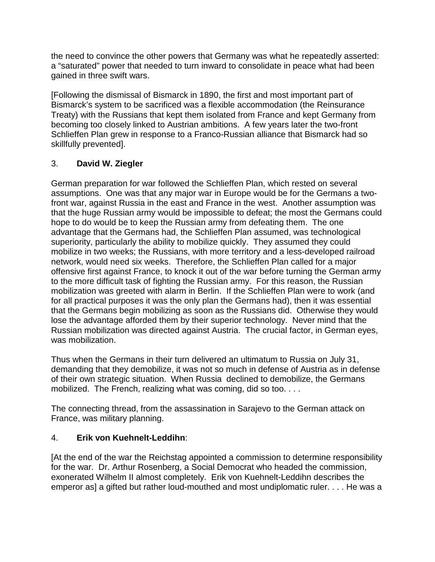the need to convince the other powers that Germany was what he repeatedly asserted: a "saturated" power that needed to turn inward to consolidate in peace what had been gained in three swift wars.

[Following the dismissal of Bismarck in 1890, the first and most important part of Bismarck's system to be sacrificed was a flexible accommodation (the Reinsurance Treaty) with the Russians that kept them isolated from France and kept Germany from becoming too closely linked to Austrian ambitions. A few years later the two-front Schlieffen Plan grew in response to a Franco-Russian alliance that Bismarck had so skillfully prevented].

## 3. **David W. Ziegler**

German preparation for war followed the Schlieffen Plan, which rested on several assumptions. One was that any major war in Europe would be for the Germans a twofront war, against Russia in the east and France in the west. Another assumption was that the huge Russian army would be impossible to defeat; the most the Germans could hope to do would be to keep the Russian army from defeating them. The one advantage that the Germans had, the Schlieffen Plan assumed, was technological superiority, particularly the ability to mobilize quickly. They assumed they could mobilize in two weeks; the Russians, with more territory and a less-developed railroad network, would need six weeks. Therefore, the Schlieffen Plan called for a major offensive first against France, to knock it out of the war before turning the German army to the more difficult task of fighting the Russian army. For this reason, the Russian mobilization was greeted with alarm in Berlin. If the Schlieffen Plan were to work (and for all practical purposes it was the only plan the Germans had), then it was essential that the Germans begin mobilizing as soon as the Russians did. Otherwise they would lose the advantage afforded them by their superior technology. Never mind that the Russian mobilization was directed against Austria. The crucial factor, in German eyes, was mobilization.

Thus when the Germans in their turn delivered an ultimatum to Russia on July 31, demanding that they demobilize, it was not so much in defense of Austria as in defense of their own strategic situation. When Russia declined to demobilize, the Germans mobilized. The French, realizing what was coming, did so too. . . .

The connecting thread, from the assassination in Sarajevo to the German attack on France, was military planning.

## 4. **Erik von Kuehnelt-Leddihn**:

[At the end of the war the Reichstag appointed a commission to determine responsibility for the war. Dr. Arthur Rosenberg, a Social Democrat who headed the commission, exonerated Wilhelm II almost completely. Erik von Kuehnelt-Leddihn describes the emperor as] a gifted but rather loud-mouthed and most undiplomatic ruler. . . . He was a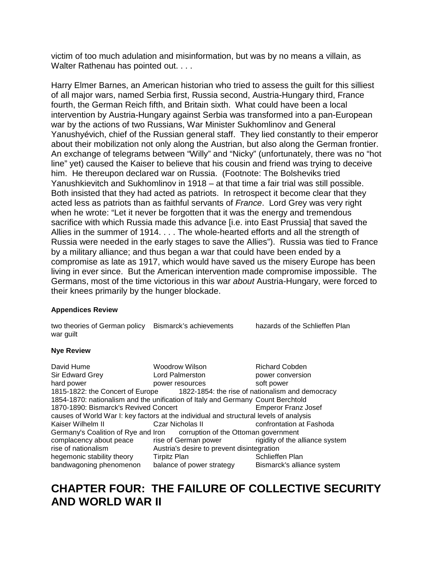victim of too much adulation and misinformation, but was by no means a villain, as Walter Rathenau has pointed out. . . .

Harry Elmer Barnes, an American historian who tried to assess the guilt for this silliest of all major wars, named Serbia first, Russia second, Austria-Hungary third, France fourth, the German Reich fifth, and Britain sixth. What could have been a local intervention by Austria-Hungary against Serbia was transformed into a pan-European war by the actions of two Russians, War Minister Sukhomlinov and General Yanushyévich, chief of the Russian general staff. They lied constantly to their emperor about their mobilization not only along the Austrian, but also along the German frontier. An exchange of telegrams between "Willy" and "Nicky" (unfortunately, there was no "hot line" yet) caused the Kaiser to believe that his cousin and friend was trying to deceive him. He thereupon declared war on Russia. (Footnote: The Bolsheviks tried Yanushkievitch and Sukhomlinov in 1918 – at that time a fair trial was still possible. Both insisted that they had acted as patriots. In retrospect it become clear that they acted less as patriots than as faithful servants of *France*. Lord Grey was very right when he wrote: "Let it never be forgotten that it was the energy and tremendous sacrifice with which Russia made this advance [i.e. into East Prussia] that saved the Allies in the summer of 1914. . . . The whole-hearted efforts and all the strength of Russia were needed in the early stages to save the Allies"). Russia was tied to France by a military alliance; and thus began a war that could have been ended by a compromise as late as 1917, which would have saved us the misery Europe has been living in ever since. But the American intervention made compromise impossible. The Germans, most of the time victorious in this war *about* Austria-Hungary, were forced to their knees primarily by the hunger blockade.

#### **Appendices Review**

two theories of German policy Bismarck's achievements hazards of the Schlieffen Plan war guilt

#### **Nye Review**

David Hume **Noodrow Wilson** Richard Cobden<br>
Sir Edward Grev **Communist Contract Communist Communist Communist Communist Communist Communist Communist Commu** Sir Edward Grey **Lord Palmerston power conversion** hard power power resources soft power 1815-1822: the Concert of Europe 1822-1854: the rise of nationalism and democracy 1854-1870: nationalism and the unification of Italy and Germany Count Berchtold 1870-1890: Bismarck's Revived Concert **Emperor Franz Josef** causes of World War I: key factors at the individual and structural levels of analysis Kaiser Wilhelm II Czar Nicholas II confrontation at Fashoda Germany's Coalition of Rye and Iron corruption of the Ottoman government complacency about peace rise of German power rigidity of the alliance system<br>rise of nationalism Austria's desire to prevent disintegration Austria's desire to prevent disintegration hegemonic stability theory Tirpitz Plan Schlieffen Plan<br>
bandwagoning phenomenon balance of power strategy Bismarck's alliance system bandwagoning phenomenon

# **CHAPTER FOUR: THE FAILURE OF COLLECTIVE SECURITY AND WORLD WAR II**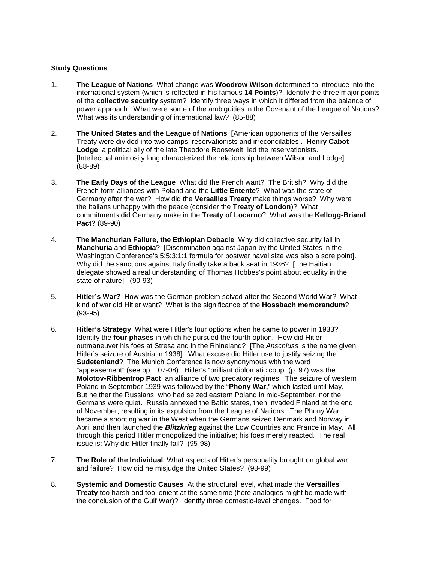- 1. **The League of Nations** What change was **Woodrow Wilson** determined to introduce into the international system (which is reflected in his famous **14 Points**)? Identify the three major points of the **collective security** system? Identify three ways in which it differed from the balance of power approach. What were some of the ambiguities in the Covenant of the League of Nations? What was its understanding of international law? (85-88)
- 2. **The United States and the League of Nations [**American opponents of the Versailles Treaty were divided into two camps: reservationists and irreconcilables]. **Henry Cabot Lodge**, a political ally of the late Theodore Roosevelt, led the reservationists. [Intellectual animosity long characterized the relationship between Wilson and Lodge]. (88-89)
- 3. **The Early Days of the League** What did the French want? The British? Why did the French form alliances with Poland and the **Little Entente**? What was the state of Germany after the war? How did the **Versailles Treaty** make things worse? Why were the Italians unhappy with the peace (consider the **Treaty of London**)? What commitments did Germany make in the **Treaty of Locarno**? What was the **Kellogg-Briand Pact**? (89-90)
- 4. **The Manchurian Failure, the Ethiopian Debacle** Why did collective security fail in **Manchuria** and **Ethiopia**? [Discrimination against Japan by the United States in the Washington Conference's 5:5:3:1:1 formula for postwar naval size was also a sore point]. Why did the sanctions against Italy finally take a back seat in 1936? [The Haitian delegate showed a real understanding of Thomas Hobbes's point about equality in the state of nature]. (90-93)
- 5. **Hitler's War?** How was the German problem solved after the Second World War? What kind of war did Hitler want? What is the significance of the **Hossbach memorandum**? (93-95)
- 6. **Hitler's Strategy** What were Hitler's four options when he came to power in 1933? Identify the **four phases** in which he pursued the fourth option. How did Hitler outmaneuver his foes at Stresa and in the Rhineland? [The *Anschluss* is the name given Hitler's seizure of Austria in 1938]. What excuse did Hitler use to justify seizing the **Sudetenland**? The Munich Conference is now synonymous with the word "appeasement" (see pp. 107-08). Hitler's "brilliant diplomatic coup" (p. 97) was the **Molotov-Ribbentrop Pact**, an alliance of two predatory regimes. The seizure of western Poland in September 1939 was followed by the "**Phony War,**" which lasted until May. But neither the Russians, who had seized eastern Poland in mid-September, nor the Germans were quiet. Russia annexed the Baltic states, then invaded Finland at the end of November, resulting in its expulsion from the League of Nations. The Phony War became a shooting war in the West when the Germans seized Denmark and Norway in April and then launched the *Blitzkrieg* against the Low Countries and France in May. All through this period Hitler monopolized the initiative; his foes merely reacted. The real issue is: Why did Hitler finally fail? (95-98)
- 7. **The Role of the Individual** What aspects of Hitler's personality brought on global war and failure? How did he misjudge the United States? (98-99)
- 8. **Systemic and Domestic Causes** At the structural level, what made the **Versailles Treaty** too harsh and too lenient at the same time (here analogies might be made with the conclusion of the Gulf War)? Identify three domestic-level changes. Food for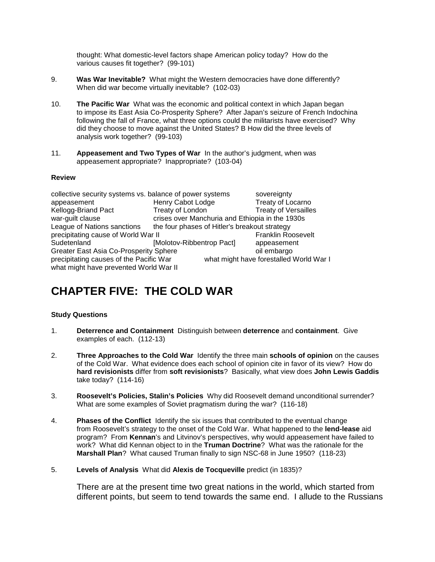thought: What domestic-level factors shape American policy today? How do the various causes fit together? (99-101)

- 9. **Was War Inevitable?** What might the Western democracies have done differently? When did war become virtually inevitable? (102-03)
- 10. **The Pacific War** What was the economic and political context in which Japan began to impose its East Asia Co-Prosperity Sphere? After Japan's seizure of French Indochina following the fall of France, what three options could the militarists have exercised? Why did they choose to move against the United States? B How did the three levels of analysis work together? (99-103)
- 11. **Appeasement and Two Types of War** In the author's judgment, when was appeasement appropriate? Inappropriate? (103-04)

#### **Review**

collective security systems vs. balance of power systems sovereignty<br>appeasement Henry Cabot Lodge Treaty of Locarno appeasement **Henry Cabot Lodge** Treaty of Locarno<br>
Kellogg-Briand Pact Treaty of London Treaty of Versailles Kellogg-Briand Pact<br>war-guilt clause war-guilt clause crises over Manchuria and Ethiopia in the 1930s<br>League of Nations sanctions the four phases of Hitler's breakout strategy the four phases of Hitler's breakout strategy<br>r II Franklin Roosevelt precipitating cause of World War II Sudetenland [Molotov-Ribbentrop Pact] appeasement<br>Greater East Asia Co-Prosperity Sphere oil embargo Greater East Asia Co-Prosperity Sphere precipitating causes of the Pacific War what might have forestalled World War I what might have prevented World War II

# **CHAPTER FIVE: THE COLD WAR**

#### **Study Questions**

- 1. **Deterrence and Containment** Distinguish between **deterrence** and **containment**. Give examples of each. (112-13)
- 2. **Three Approaches to the Cold War** Identify the three main **schools of opinion** on the causes of the Cold War. What evidence does each school of opinion cite in favor of its view? How do **hard revisionists** differ from **soft revisionists**? Basically, what view does **John Lewis Gaddis** take today? (114-16)
- 3. **Roosevelt's Policies, Stalin's Policies** Why did Roosevelt demand unconditional surrender? What are some examples of Soviet pragmatism during the war? (116-18)
- 4. **Phases of the Conflict** Identify the six issues that contributed to the eventual change from Roosevelt's strategy to the onset of the Cold War. What happened to the **lend-lease** aid program? From **Kennan**'s and Litvinov's perspectives, why would appeasement have failed to work? What did Kennan object to in the **Truman Doctrine**? What was the rationale for the **Marshall Plan**? What caused Truman finally to sign NSC-68 in June 1950? (118-23)
- 5. **Levels of Analysis** What did **Alexis de Tocqueville** predict (in 1835)?

There are at the present time two great nations in the world, which started from different points, but seem to tend towards the same end. I allude to the Russians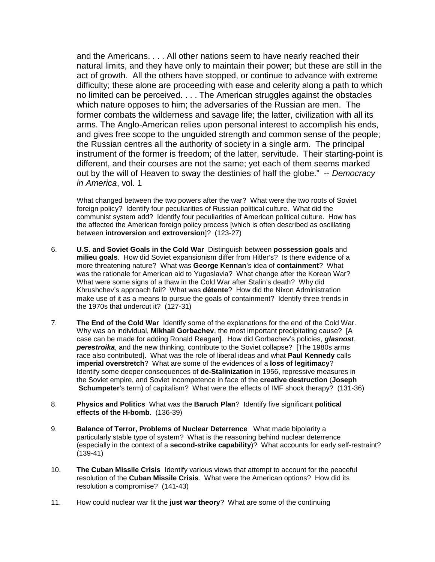and the Americans. . . . All other nations seem to have nearly reached their natural limits, and they have only to maintain their power; but these are still in the act of growth. All the others have stopped, or continue to advance with extreme difficulty; these alone are proceeding with ease and celerity along a path to which no limited can be perceived. . . . The American struggles against the obstacles which nature opposes to him; the adversaries of the Russian are men. The former combats the wilderness and savage life; the latter, civilization with all its arms. The Anglo-American relies upon personal interest to accomplish his ends, and gives free scope to the unguided strength and common sense of the people; the Russian centres all the authority of society in a single arm. The principal instrument of the former is freedom; of the latter, servitude. Their starting-point is different, and their courses are not the same; yet each of them seems marked out by the will of Heaven to sway the destinies of half the globe." -- *Democracy in America*, vol. 1

What changed between the two powers after the war? What were the two roots of Soviet foreign policy? Identify four peculiarities of Russian political culture. What did the communist system add? Identify four peculiarities of American political culture. How has the affected the American foreign policy process [which is often described as oscillating between **introversion** and **extroversion**]? (123-27)

- 6. **U.S. and Soviet Goals in the Cold War** Distinguish between **possession goals** and **milieu goals**. How did Soviet expansionism differ from Hitler's? Is there evidence of a more threatening nature? What was **George Kennan**'s idea of **containment**? What was the rationale for American aid to Yugoslavia? What change after the Korean War? What were some signs of a thaw in the Cold War after Stalin's death? Why did Khrushchev's approach fail? What was **détente**? How did the Nixon Administration make use of it as a means to pursue the goals of containment? Identify three trends in the 1970s that undercut it? (127-31)
- 7. **The End of the Cold War** Identify some of the explanations for the end of the Cold War. Why was an individual, **Mikhail Gorbachev**, the most important precipitating cause? [A case can be made for adding Ronald Reagan]. How did Gorbachev's policies, *glasnost*, **perestroika**, and the new thinking, contribute to the Soviet collapse? [The 1980s arms race also contributed]. What was the role of liberal ideas and what **Paul Kennedy** calls **imperial overstretch**? What are some of the evidences of a **loss of legitimacy**? Identify some deeper consequences of **de-Stalinization** in 1956, repressive measures in the Soviet empire, and Soviet incompetence in face of the **creative destruction** (**Joseph Schumpeter**'s term) of capitalism? What were the effects of IMF shock therapy? (131-36)
- 8. **Physics and Politics** What was the **Baruch Plan**? Identify five significant **political effects of the H-bomb**. (136-39)
- 9. **Balance of Terror, Problems of Nuclear Deterrence** What made bipolarity a particularly stable type of system? What is the reasoning behind nuclear deterrence (especially in the context of a **second-strike capability**)? What accounts for early self-restraint? (139-41)
- 10. **The Cuban Missile Crisis** Identify various views that attempt to account for the peaceful resolution of the **Cuban Missile Crisis**. What were the American options? How did its resolution a compromise? (141-43)
- 11. How could nuclear war fit the **just war theory**? What are some of the continuing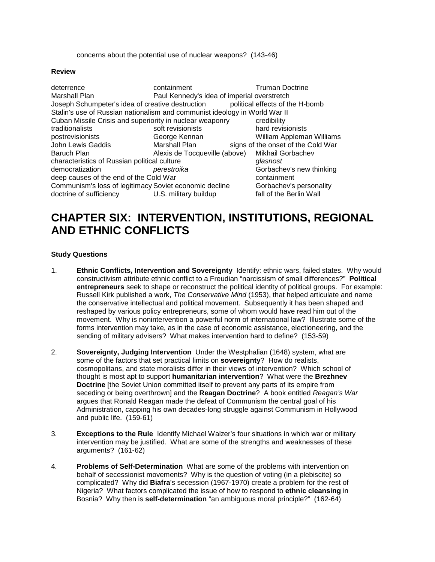concerns about the potential use of nuclear weapons? (143-46)

#### **Review**

deterrence containment Truman Doctrine Marshall Plan **Paul Kennedy's idea of imperial overstretch**<br>Joseph Schumpeter's idea of creative destruction political effects of the H-bomb Joseph Schumpeter's idea of creative destruction Stalin's use of Russian nationalism and communist ideology in World War II Cuban Missile Crisis and superiority in nuclear weaponry credibility<br>traditionalists soft revisionists bard revisionists soft revisionists postrevisionists George Kennan William Appleman Williams John Lewis Gaddis Marshall Plan signs of the onset of the Cold War<br>Baruch Plan Alexis de Tocqueville (above) Mikhail Gorbachev Alexis de Tocqueville (above) characteristics of Russian political culture *glasnost* democratization *perestroika* Gorbachev's new thinking deep causes of the end of the Cold War containment Communism's loss of legitimacy Soviet economic decline Gorbachev's personality doctrine of sufficiency **U.S. military buildup** fall of the Berlin Wall

# **CHAPTER SIX: INTERVENTION, INSTITUTIONS, REGIONAL AND ETHNIC CONFLICTS**

- 1. **Ethnic Conflicts, Intervention and Sovereignty** Identify: ethnic wars, failed states. Why would constructivism attribute ethnic conflict to a Freudian "narcissism of small differences?" **Political entrepreneurs** seek to shape or reconstruct the political identity of political groups. For example: Russell Kirk published a work, *The Conservative Mind* (1953), that helped articulate and name the conservative intellectual and political movement. Subsequently it has been shaped and reshaped by various policy entrepreneurs, some of whom would have read him out of the movement. Why is nonintervention a powerful norm of international law? Illustrate some of the forms intervention may take, as in the case of economic assistance, electioneering, and the sending of military advisers? What makes intervention hard to define? (153-59)
- 2. **Sovereignty, Judging Intervention** Under the Westphalian (1648) system, what are some of the factors that set practical limits on **sovereignty**? How do realists, cosmopolitans, and state moralists differ in their views of intervention? Which school of thought is most apt to support **humanitarian intervention**? What were the **Brezhnev Doctrine** [the Soviet Union committed itself to prevent any parts of its empire from seceding or being overthrown] and the **Reagan Doctrine**? A book entitled *Reagan's War* argues that Ronald Reagan made the defeat of Communism the central goal of his Administration, capping his own decades-long struggle against Communism in Hollywood and public life. (159-61)
- 3. **Exceptions to the Rule** Identify Michael Walzer's four situations in which war or military intervention may be justified. What are some of the strengths and weaknesses of these arguments? (161-62)
- 4. **Problems of Self-Determination** What are some of the problems with intervention on behalf of secessionist movements? Why is the question of voting (in a plebiscite) so complicated? Why did **Biafra**'s secession (1967-1970) create a problem for the rest of Nigeria? What factors complicated the issue of how to respond to **ethnic cleansing** in Bosnia? Why then is **self-determination** "an ambiguous moral principle?" (162-64)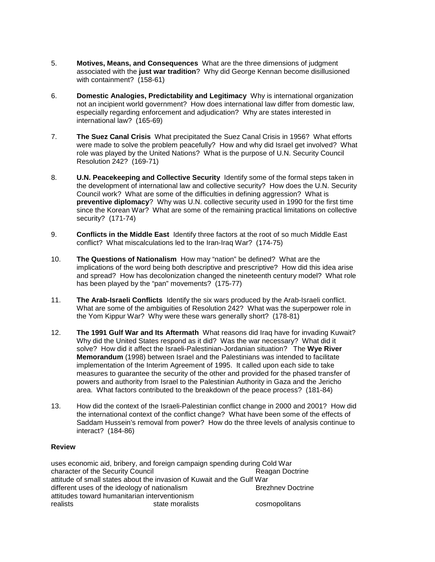- 5. **Motives, Means, and Consequences** What are the three dimensions of judgment associated with the **just war tradition**? Why did George Kennan become disillusioned with containment? (158-61)
- 6. **Domestic Analogies, Predictability and Legitimacy** Why is international organization not an incipient world government? How does international law differ from domestic law, especially regarding enforcement and adjudication? Why are states interested in international law? (165-69)
- 7. **The Suez Canal Crisis** What precipitated the Suez Canal Crisis in 1956? What efforts were made to solve the problem peacefully? How and why did Israel get involved? What role was played by the United Nations? What is the purpose of U.N. Security Council Resolution 242? (169-71)
- 8. **U.N. Peacekeeping and Collective Security** Identify some of the formal steps taken in the development of international law and collective security? How does the U.N. Security Council work? What are some of the difficulties in defining aggression? What is **preventive diplomacy**? Why was U.N. collective security used in 1990 for the first time since the Korean War? What are some of the remaining practical limitations on collective security? (171-74)
- 9. **Conflicts in the Middle East** Identify three factors at the root of so much Middle East conflict? What miscalculations led to the Iran-Iraq War? (174-75)
- 10. **The Questions of Nationalism** How may "nation" be defined? What are the implications of the word being both descriptive and prescriptive? How did this idea arise and spread? How has decolonization changed the nineteenth century model? What role has been played by the "pan" movements? (175-77)
- 11. **The Arab-Israeli Conflicts** Identify the six wars produced by the Arab-Israeli conflict. What are some of the ambiguities of Resolution 242? What was the superpower role in the Yom Kippur War? Why were these wars generally short? (178-81)
- 12. **The 1991 Gulf War and Its Aftermath** What reasons did Iraq have for invading Kuwait? Why did the United States respond as it did? Was the war necessary? What did it solve? How did it affect the Israeli-Palestinian-Jordanian situation? The **Wye River Memorandum** (1998) between Israel and the Palestinians was intended to facilitate implementation of the Interim Agreement of 1995. It called upon each side to take measures to guarantee the security of the other and provided for the phased transfer of powers and authority from Israel to the Palestinian Authority in Gaza and the Jericho area. What factors contributed to the breakdown of the peace process? (181-84)
- 13. How did the context of the Israeli-Palestinian conflict change in 2000 and 2001? How did the international context of the conflict change? What have been some of the effects of Saddam Hussein's removal from power? How do the three levels of analysis continue to interact? (184-86)

#### **Review**

|                                               | uses economic aid, bribery, and foreign campaign spending during Cold War |                          |
|-----------------------------------------------|---------------------------------------------------------------------------|--------------------------|
| character of the Security Council             |                                                                           | Reagan Doctrine          |
|                                               | attitude of small states about the invasion of Kuwait and the Gulf War    |                          |
| different uses of the ideology of nationalism |                                                                           | <b>Brezhnev Doctrine</b> |
| attitudes toward humanitarian interventionism |                                                                           |                          |
| realists                                      | state moralists                                                           | cosmopolitans            |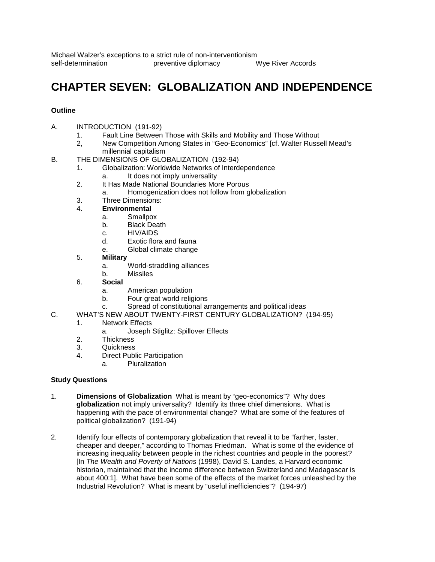Michael Walzer's exceptions to a strict rule of non-interventionism self-determination **preventive diplomacy** Wye River Accords

# **CHAPTER SEVEN: GLOBALIZATION AND INDEPENDENCE**

### **Outline**

- A. INTRODUCTION (191-92)
	- 1. Fault Line Between Those with Skills and Mobility and Those Without
	- 2, New Competition Among States in "Geo-Economics" [cf. Walter Russell Mead's millennial capitalism
- B. THE DIMENSIONS OF GLOBALIZATION (192-94)
	- 1. Globalization: Worldwide Networks of Interdependence
		- a. It does not imply universality
	- 2. It Has Made National Boundaries More Porous
		- a. Homogenization does not follow from globalization
	- 3. Three Dimensions:

#### 4. **Environmental**

- a. Smallpox
- b. Black Death
- c. HIV/AIDS
- d. Exotic flora and fauna
- e. Global climate change
- 5. **Military**
	- a. World-straddling alliances
	- b. Missiles
- 6. **Social**
	- a. American population
	- b. Four great world religions
	- c. Spread of constitutional arrangements and political ideas
- C. WHAT'S NEW ABOUT TWENTY-FIRST CENTURY GLOBALIZATION? (194-95)
	- 1. Network Effects
		- a. Joseph Stiglitz: Spillover Effects
	- 2. Thickness<br>3 Ouickness
	- 3. Quickness
	- 4. Direct Public Participation
		- a. Pluralization

- 1. **Dimensions of Globalization** What is meant by "geo-economics"? Why does **globalization** not imply universality? Identify its three chief dimensions. What is happening with the pace of environmental change? What are some of the features of political globalization? (191-94)
- 2. Identify four effects of contemporary globalization that reveal it to be "farther, faster, cheaper and deeper," according to Thomas Friedman. What is some of the evidence of increasing inequality between people in the richest countries and people in the poorest? [In *The Wealth and Poverty of Nations* (1998), David S. Landes, a Harvard economic historian, maintained that the income difference between Switzerland and Madagascar is about 400:1]. What have been some of the effects of the market forces unleashed by the Industrial Revolution? What is meant by "useful inefficiencies"? (194-97)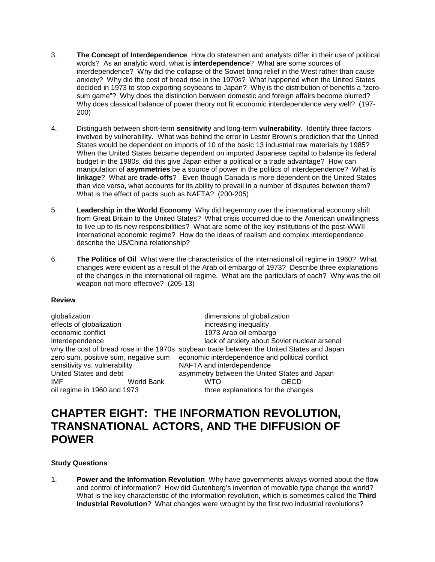- 3. **The Concept of Interdependence** How do statesmen and analysts differ in their use of political words? As an analytic word, what is **interdependence**? What are some sources of interdependence? Why did the collapse of the Soviet bring relief in the West rather than cause anxiety? Why did the cost of bread rise in the 1970s? What happened when the United States decided in 1973 to stop exporting soybeans to Japan? Why is the distribution of benefits a "zerosum game"? Why does the distinction between domestic and foreign affairs become blurred? Why does classical balance of power theory not fit economic interdependence very well? (197- 200)
- 4. Distinguish between short-term **sensitivity** and long-term **vulnerability**. Identify three factors involved by vulnerability. What was behind the error in Lester Brown's prediction that the United States would be dependent on imports of 10 of the basic 13 industrial raw materials by 1985? When the United States became dependent on imported Japanese capital to balance its federal budget in the 1980s, did this give Japan either a political or a trade advantage? How can manipulation of **asymmetries** be a source of power in the politics of interdependence? What is **linkage**? What are **trade-offs**? Even though Canada is more dependent on the United States than vice versa, what accounts for its ability to prevail in a number of disputes between them? What is the effect of pacts such as NAFTA? (200-205)
- 5. **Leadership in the World Economy** Why did hegemony over the international economy shift from Great Britain to the United States? What crisis occurred due to the American unwillingness to live up to its new responsibilities? What are some of the key institutions of the post-WWII international economic regime? How do the ideas of realism and complex interdependence describe the US/China relationship?
- 6. **The Politics of Oil** What were the characteristics of the international oil regime in 1960? What changes were evident as a result of the Arab oil embargo of 1973? Describe three explanations of the changes in the international oil regime. What are the particulars of each? Why was the oil weapon not more effective? (205-13)

#### **Review**

globalization dimensions of globalization<br>
effects of globalization<br>
effects of globalization<br>
dimensions of globalization effects of globalization<br>economic conflict economic conflict 1973 Arab oil embargo<br>
interdependence<br>
lack of anxiety about Sc lack of anxiety about Soviet nuclear arsenal why the cost of bread rose in the 1970s soybean trade between the United States and Japan zero sum, positive sum, negative sum economic interdependence and political conflict<br>sensitivity vs. vulnerability **Sensitive Sensitive Renault Renault NAFTA** and interdependence sensitivity vs. vulnerability and MAFTA and interdependence<br>
United States and debt asymmetry between the Unite asymmetry between the United States and Japan IMF World Bank WTO OECD three explanations for the changes

# **CHAPTER EIGHT: THE INFORMATION REVOLUTION, TRANSNATIONAL ACTORS, AND THE DIFFUSION OF POWER**

#### **Study Questions**

1. **Power and the Information Revolution** Why have governments always worried about the flow and control of information? How did Gutenberg's invention of movable type change the world? What is the key characteristic of the information revolution, which is sometimes called the **Third Industrial Revolution**? What changes were wrought by the first two industrial revolutions?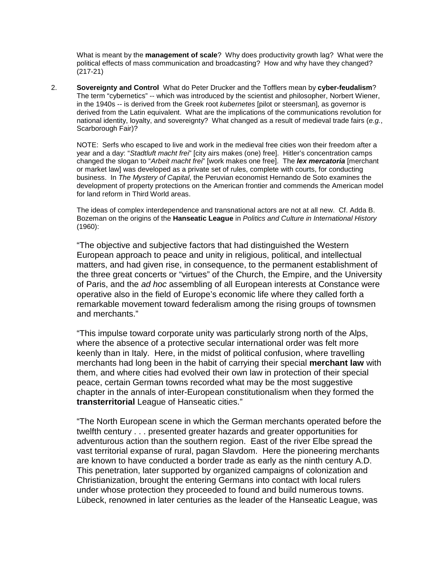What is meant by the **management of scale**? Why does productivity growth lag? What were the political effects of mass communication and broadcasting? How and why have they changed? (217-21)

2. **Sovereignty and Control** What do Peter Drucker and the Tofflers mean by **cyber-feudalism**? The term "cybernetics" -- which was introduced by the scientist and philosopher, Norbert Wiener, in the 1940s -- is derived from the Greek root *kubernetes* [pilot or steersman], as governor is derived from the Latin equivalent. What are the implications of the communications revolution for national identity, loyalty, and sovereignty? What changed as a result of medieval trade fairs (*e.g.*, Scarborough Fair)?

NOTE: Serfs who escaped to live and work in the medieval free cities won their freedom after a year and a day: "*Stadtluft macht frei*" [city airs makes (one) free]. Hitler's concentration camps changed the slogan to "*Arbeit macht frei*" [work makes one free]. The *lex mercatoria* [merchant or market law] was developed as a private set of rules, complete with courts, for conducting business. In *The Mystery of Capital*, the Peruvian economist Hernando de Soto examines the development of property protections on the American frontier and commends the American model for land reform in Third World areas.

The ideas of complex interdependence and transnational actors are not at all new. Cf. Adda B. Bozeman on the origins of the **Hanseatic League** in *Politics and Culture in International History* (1960):

"The objective and subjective factors that had distinguished the Western European approach to peace and unity in religious, political, and intellectual matters, and had given rise, in consequence, to the permanent establishment of the three great concerts or "virtues" of the Church, the Empire, and the University of Paris, and the *ad hoc* assembling of all European interests at Constance were operative also in the field of Europe's economic life where they called forth a remarkable movement toward federalism among the rising groups of townsmen and merchants."

"This impulse toward corporate unity was particularly strong north of the Alps, where the absence of a protective secular international order was felt more keenly than in Italy. Here, in the midst of political confusion, where travelling merchants had long been in the habit of carrying their special **merchant law** with them, and where cities had evolved their own law in protection of their special peace, certain German towns recorded what may be the most suggestive chapter in the annals of inter-European constitutionalism when they formed the **transterritorial** League of Hanseatic cities."

"The North European scene in which the German merchants operated before the twelfth century . . . presented greater hazards and greater opportunities for adventurous action than the southern region. East of the river Elbe spread the vast territorial expanse of rural, pagan Slavdom. Here the pioneering merchants are known to have conducted a border trade as early as the ninth century A.D. This penetration, later supported by organized campaigns of colonization and Christianization, brought the entering Germans into contact with local rulers under whose protection they proceeded to found and build numerous towns. Lübeck, renowned in later centuries as the leader of the Hanseatic League, was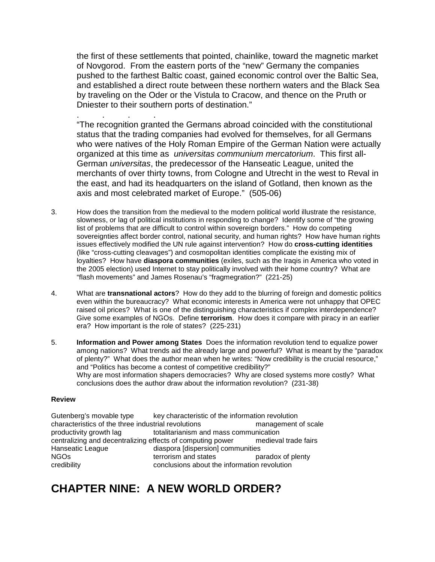the first of these settlements that pointed, chainlike, toward the magnetic market of Novgorod. From the eastern ports of the "new" Germany the companies pushed to the farthest Baltic coast, gained economic control over the Baltic Sea, and established a direct route between these northern waters and the Black Sea by traveling on the Oder or the Vistula to Cracow, and thence on the Pruth or Dniester to their southern ports of destination."

. . . . "The recognition granted the Germans abroad coincided with the constitutional status that the trading companies had evolved for themselves, for all Germans who were natives of the Holy Roman Empire of the German Nation were actually organized at this time as *universitas communium mercatorium*. This first all-German *universitas*, the predecessor of the Hanseatic League, united the merchants of over thirty towns, from Cologne and Utrecht in the west to Reval in the east, and had its headquarters on the island of Gotland, then known as the axis and most celebrated market of Europe." (505-06)

- 3. How does the transition from the medieval to the modern political world illustrate the resistance, slowness, or lag of political institutions in responding to change? Identify some of "the growing list of problems that are difficult to control within sovereign borders." How do competing sovereignties affect border control, national security, and human rights? How have human rights issues effectively modified the UN rule against intervention? How do **cross-cutting identities**  (like "cross-cutting cleavages") and cosmopolitan identities complicate the existing mix of loyalties? How have **diaspora communities** (exiles, such as the Iraqis in America who voted in the 2005 election) used Internet to stay politically involved with their home country? What are "flash movements" and James Rosenau's "fragmegration?" (221-25)
- 4. What are **transnational actors**? How do they add to the blurring of foreign and domestic politics even within the bureaucracy? What economic interests in America were not unhappy that OPEC raised oil prices? What is one of the distinguishing characteristics if complex interdependence? Give some examples of NGOs. Define **terrorism**. How does it compare with piracy in an earlier era? How important is the role of states? (225-231)
- 5. **Information and Power among States** Does the information revolution tend to equalize power among nations? What trends aid the already large and powerful? What is meant by the "paradox of plenty?" What does the author mean when he writes: "Now credibility is the crucial resource," and "Politics has become a contest of competitive credibility?" Why are most information shapers democracies? Why are closed systems more costly? What conclusions does the author draw about the information revolution? (231-38)

#### **Review**

Gutenberg's movable type key characteristic of the information revolution characteristics of the three industrial revolutions management of scale productivity growth lag totalitarianism and mass communication<br>centralizing and decentralizing effects of computing power medieval trade fairs centralizing and decentralizing effects of computing power<br>Hanseatic League diaspora [dispersion] comn diaspora [dispersion] communities NGOs terrorism and states paradox of plenty<br>credibility credibility conclusions about the information revolution conclusions about the information revolution

# **CHAPTER NINE: A NEW WORLD ORDER?**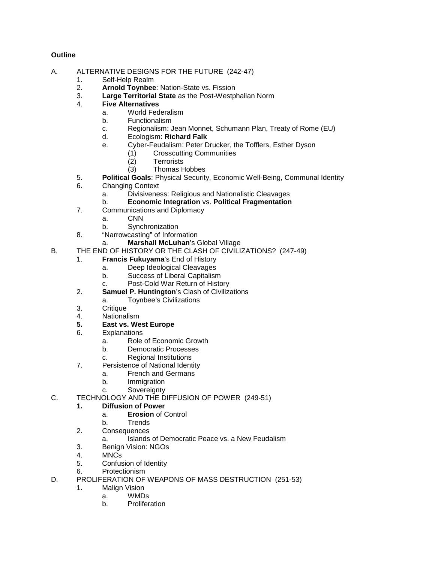### **Outline**

- A. ALTERNATIVE DESIGNS FOR THE FUTURE (242-47)
	- 1. Self-Help Realm<br>2. **Arnold Toynbee**
	- 2. **Arnold Toynbee**: Nation-State vs. Fission
	- 3. **Large Territorial State** as the Post-Westphalian Norm
	- 4. **Five Alternatives**
		- a. World Federalism
		- b. Functionalism
		- c. Regionalism: Jean Monnet, Schumann Plan, Treaty of Rome (EU)<br>d. Ecologism: Richard Falk
		- d. Ecologism: **Richard Falk**
		- Cyber-Feudalism: Peter Drucker, the Tofflers, Esther Dyson
			- (1) Crosscutting Communities
			- (2) Terrorists
			- (3) Thomas Hobbes
	- 5. **Political Goals**: Physical Security, Economic Well-Being, Communal Identity
	- 6. Changing Context
		- a. Divisiveness: Religious and Nationalistic Cleavages
		- b. **Economic Integration** vs. **Political Fragmentation**
	- 7. Communications and Diplomacy
		- a. CNN
		- b. Synchronization
	- 8. "Narrowcasting" of Information
		- a. **Marshall McLuhan**'s Global Village
- B. THE END OF HISTORY OR THE CLASH OF CIVILIZATIONS? (247-49)
	- 1. **Francis Fukuyama**'s End of History
		- a. Deep Ideological Cleavages
		- b. Success of Liberal Capitalism
		- c. Post-Cold War Return of History
	- 2. **Samuel P. Huntington**'s Clash of Civilizations
		- a. Toynbee's Civilizations
	- 3. Critique
	-
	- 4. Nationalism<br>5. East vs. We **5. East vs. West Europe**
	- 6. Explanations
		- a. Role of Economic Growth
		- b. Democratic Processes
		- c. Regional Institutions
	- 7. Persistence of National Identity
		- a. French and Germans
		- b. Immigration
		- c. Sovereignty
- C. TECHNOLOGY AND THE DIFFUSION OF POWER (249-51)

### **1. Diffusion of Power**

- a. **Erosion** of Control
- **Trends**
- 2. Consequences
	- a. Islands of Democratic Peace vs. a New Feudalism
- 3. Benign Vision: NGOs
- 4. MNCs
- 5. Confusion of Identity
- 6. Protectionism
- D. PROLIFERATION OF WEAPONS OF MASS DESTRUCTION (251-53)
	- 1. Malign Vision
		- a. WMDs
		- b. Proliferation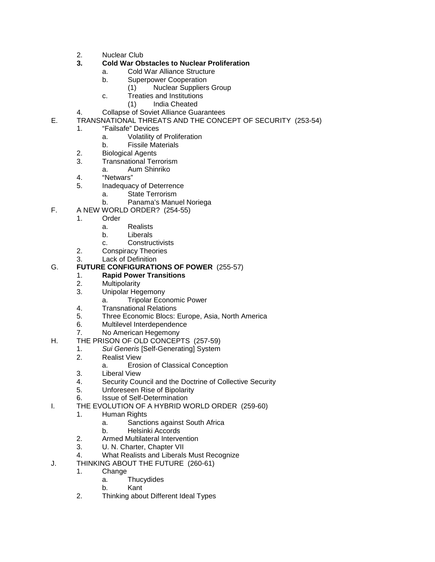- 2. Nuclear Club<br>3. Cold War Ob
- **3. Cold War Obstacles to Nuclear Proliferation**
	- a. Cold War Alliance Structure<br>b. Superpower Cooperation
		- Superpower Cooperation
			- (1) Nuclear Suppliers Group
	- c. Treaties and Institutions
		- (1) India Cheated
- 4. Collapse of Soviet Alliance Guarantees
- E. TRANSNATIONAL THREATS AND THE CONCEPT OF SECURITY (253-54)
	- 1. "Failsafe" Devices
		- a. Volatility of Proliferation
		- b. Fissile Materials
	- 2. Biological Agents
	- 3. Transnational Terrorism
		- a. Aum Shinriko
	- 4. "Netwars"
	- 5. Inadequacy of Deterrence
		- a. State Terrorism
			- b. Panama's Manuel Noriega
- F. A NEW WORLD ORDER? (254-55)
	- 1. Order
		- a. Realists
		- b. Liberals
		- c. Constructivists
	- 2. Conspiracy Theories
	- 3. Lack of Definition

### G. **FUTURE CONFIGURATIONS OF POWER** (255-57)

### 1. **Rapid Power Transitions**

- 2. Multipolarity
- 3. Unipolar Hegemony
	- a. Tripolar Economic Power
- 4. Transnational Relations
- 5. Three Economic Blocs: Europe, Asia, North America
- 6. Multilevel Interdependence
- 7. No American Hegemony
- H. THE PRISON OF OLD CONCEPTS (257-59)
	- 1. *Sui Generis* [Self-Generating] System
	- 2. Realist View
		- a. Erosion of Classical Conception
	- 3. Liberal View
	- 4. Security Council and the Doctrine of Collective Security<br>5. Unforeseen Rise of Bipolarity
	- Unforeseen Rise of Bipolarity
	- 6. Issue of Self-Determination
- I. THE EVOLUTION OF A HYBRID WORLD ORDER (259-60)
	- 1. Human Rights
		- a. Sanctions against South Africa
		- b. Helsinki Accords
	- 2. Armed Multilateral Intervention
	- 3. U. N. Charter, Chapter VII
	- 4. What Realists and Liberals Must Recognize
- J. THINKING ABOUT THE FUTURE (260-61)
	- 1. Change
		- a. Thucydides<br>b. Kant
		- b. Kant
	- 2. Thinking about Different Ideal Types